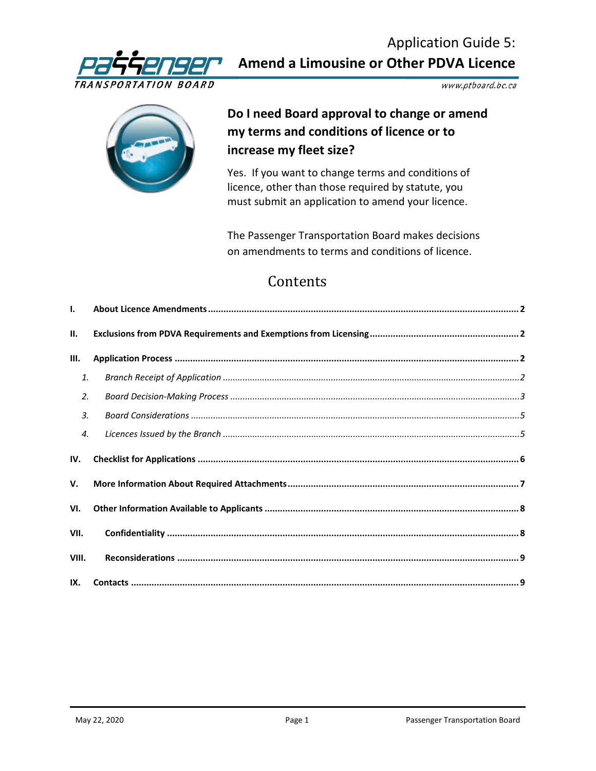

Application Guide 5: **Amend a Limousine or Other PDVA Licence**

www.ptboard.bc.ca



# **Do I need Board approval to change or amend my terms and conditions of licence or to increase my fleet size?**

Yes. If you want to change terms and conditions of licence, other than those required by statute, you must submit an application to amend your licence.

The Passenger Transportation Board makes decisions on amendments to terms and conditions of licence.

# Contents

| $\mathbf{L}$     |  |  |  |
|------------------|--|--|--|
| II.              |  |  |  |
| III.             |  |  |  |
| 1.               |  |  |  |
| 2.               |  |  |  |
| $\overline{3}$ . |  |  |  |
| 4.               |  |  |  |
|                  |  |  |  |
| IV.              |  |  |  |
| V.               |  |  |  |
| VI.              |  |  |  |
| VII.             |  |  |  |
| VIII.            |  |  |  |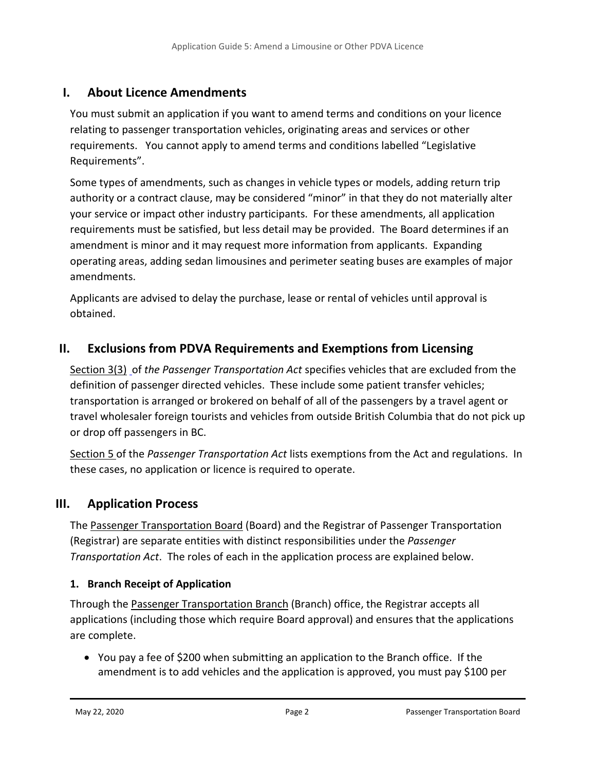### <span id="page-1-0"></span>**I. About Licence Amendments**

You must submit an application if you want to amend terms and conditions on your licence relating to passenger transportation vehicles, originating areas and services or other requirements. You cannot apply to amend terms and conditions labelled "Legislative Requirements".

Some types of amendments, such as changes in vehicle types or models, adding return trip authority or a contract clause, may be considered "minor" in that they do not materially alter your service or impact other industry participants. For these amendments, all application requirements must be satisfied, but less detail may be provided. The Board determines if an amendment is minor and it may request more information from applicants. Expanding operating areas, adding sedan limousines and perimeter seating buses are examples of major amendments.

Applicants are advised to delay the purchase, lease or rental of vehicles until approval is obtained.

### <span id="page-1-1"></span>**II. Exclusions from PDVA Requirements and Exemptions from Licensing**

[Section 3\(3\)](http://www.bclaws.ca/civix/document/id/complete/statreg/266_2004#section3) of *the Passenger Transportation Act* specifies vehicles that are excluded from the definition of passenger directed vehicles. These include some patient transfer vehicles; transportation is arranged or brokered on behalf of all of the passengers by a travel agent or travel wholesaler foreign tourists and vehicles from outside British Columbia that do not pick up or drop off passengers in BC.

[Section 5](http://www.bclaws.ca/civix/document/id/complete/statreg/266_2004#section5) of the *Passenger Transportation Act* lists exemptions from the Act and regulations. In these cases, no application or licence is required to operate.

### <span id="page-1-2"></span>**III. Application Process**

The [Passenger Transportation Board](https://www.ptboard.bc.ca/index.htm) (Board) and the Registrar of Passenger Transportation (Registrar) are separate entities with distinct responsibilities under the *Passenger Transportation Act*. The roles of each in the application process are explained below.

### <span id="page-1-3"></span>**1. Branch Receipt of Application**

Through the [Passenger Transportation Branch](https://www2.gov.bc.ca/gov/content/transportation/vehicle-safety-enforcement/services/passenger-transportation) (Branch) office, the Registrar accepts all applications (including those which require Board approval) and ensures that the applications are complete.

• You pay a fee of \$200 when submitting an application to the Branch office. If the amendment is to add vehicles and the application is approved, you must pay \$100 per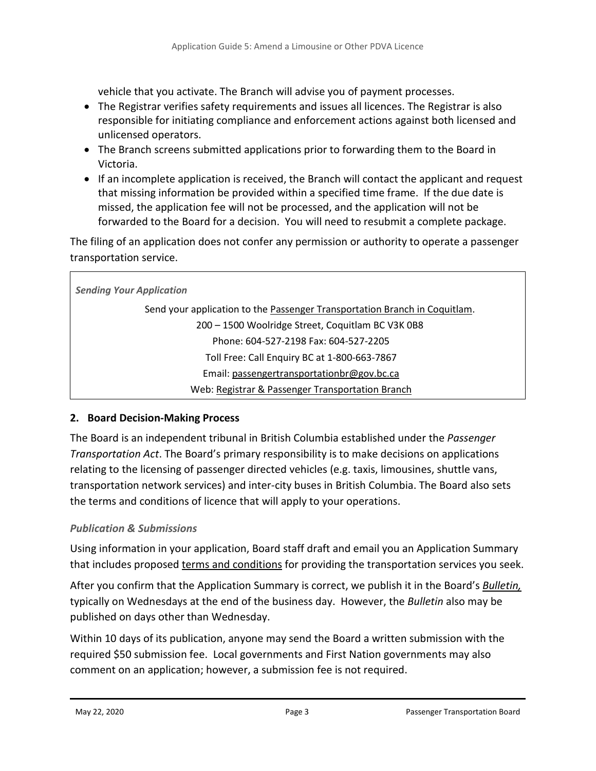vehicle that you activate. The Branch will advise you of payment processes.

- The Registrar verifies safety requirements and issues all licences. The Registrar is also responsible for initiating compliance and enforcement actions against both licensed and unlicensed operators.
- The Branch screens submitted applications prior to forwarding them to the Board in Victoria.
- If an incomplete application is received, the Branch will contact the applicant and request that missing information be provided within a specified time frame. If the due date is missed, the application fee will not be processed, and the application will not be forwarded to the Board for a decision. You will need to resubmit a complete package.

The filing of an application does not confer any permission or authority to operate a passenger transportation service.

| <b>Sending Your Application</b>                                            |  |  |  |
|----------------------------------------------------------------------------|--|--|--|
| Send your application to the Passenger Transportation Branch in Coquitlam. |  |  |  |
| 200 - 1500 Woolridge Street, Coquitlam BC V3K 0B8                          |  |  |  |
| Phone: 604-527-2198 Fax: 604-527-2205                                      |  |  |  |
| Toll Free: Call Enquiry BC at 1-800-663-7867                               |  |  |  |
| Email: passengertransportationbr@gov.bc.ca                                 |  |  |  |
| Web: Registrar & Passenger Transportation Branch                           |  |  |  |

### <span id="page-2-0"></span>**2. Board Decision-Making Process**

The Board is an independent tribunal in British Columbia established under the *Passenger Transportation Act*. The Board's primary responsibility is to make decisions on applications relating to the licensing of passenger directed vehicles (e.g. taxis, limousines, shuttle vans, transportation network services) and inter-city buses in British Columbia. The Board also sets the terms and conditions of licence that will apply to your operations.

### *Publication & Submissions*

Using information in your application, Board staff draft and email you an Application Summary that includes proposed [terms and conditions](http://www.th.gov.bc.ca/forms/getForm.aspx?formId=1201) for providing the transportation services you seek.

After you confirm that the Application Summary is correct, we publish it in the Board's *[Bulletin,](https://www.ptboard.bc.ca/bulletins.htm)* typically on Wednesdays at the end of the business day. However, the *Bulletin* also may be published on days other than Wednesday.

Within 10 days of its publication, anyone may send the Board a written submission with the required \$50 submission fee. Local governments and First Nation governments may also comment on an application; however, a submission fee is not required.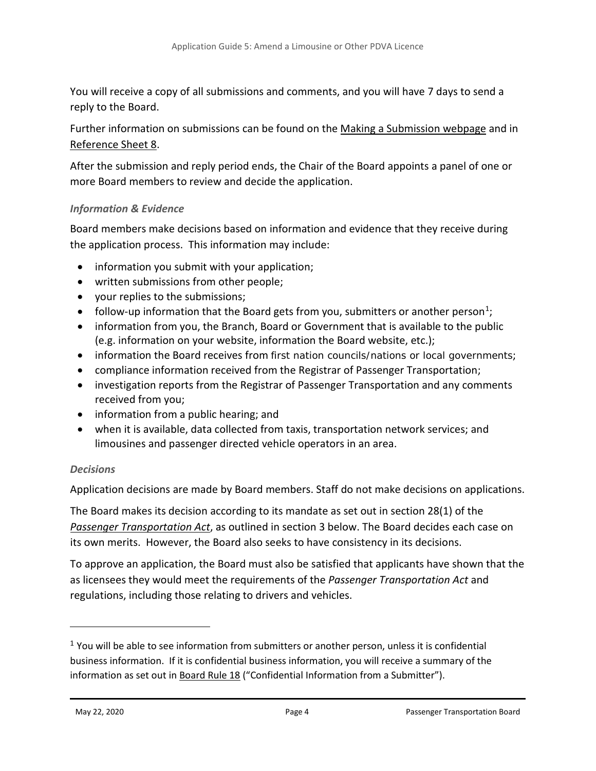You will receive a copy of all submissions and comments, and you will have 7 days to send a reply to the Board.

Further information on submissions can be found on the [Making a Submission webpage](https://www.ptboard.bc.ca/making_submissions.htm) and in [Reference Sheet 8.](http://www.th.gov.bc.ca/forms/getForm.aspx?formId=1198)

After the submission and reply period ends, the Chair of the Board appoints a panel of one or more Board members to review and decide the application.

#### *Information & Evidence*

Board members make decisions based on information and evidence that they receive during the application process. This information may include:

- information you submit with your application;
- written submissions from other people;
- your replies to the submissions;
- follow-up information that the Board gets from you, submitters or another person<sup>1</sup>;
- information from you, the Branch, Board or Government that is available to the public (e.g. information on your website, information the Board website, etc.);
- information the Board receives from first nation councils/nations or local governments;
- compliance information received from the Registrar of Passenger Transportation;
- investigation reports from the Registrar of Passenger Transportation and any comments received from you;
- information from a public hearing; and
- when it is available, data collected from taxis, transportation network services; and limousines and passenger directed vehicle operators in an area.

### *Decisions*

Application decisions are made by Board members. Staff do not make decisions on applications.

The Board makes its decision according to its mandate as set out in section 28(1) of the *[Passenger Transportation Act](http://www.bclaws.ca/EPLibraries/bclaws_new/document/ID/freeside/00_04039_01)*, as outlined in section 3 below. The Board decides each case on its own merits. However, the Board also seeks to have consistency in its decisions.

To approve an application, the Board must also be satisfied that applicants have shown that the as licensees they would meet the requirements of the *Passenger Transportation Act* and regulations, including those relating to drivers and vehicles.

 $\overline{a}$ 

<span id="page-3-0"></span> $1$  You will be able to see information from submitters or another person, unless it is confidential business information. If it is confidential business information, you will receive a summary of the information as set out in [Board Rule 18](https://www.ptboard.bc.ca/practice_procedure.htm) ("Confidential Information from a Submitter").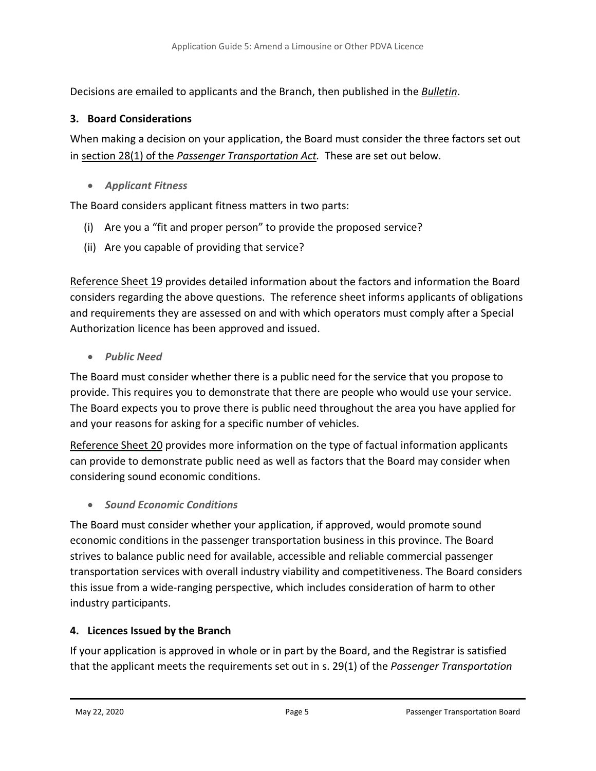Decisions are emailed to applicants and the Branch, then published in the *[Bulletin](https://www.ptboard.bc.ca/bulletins.htm)*.

### <span id="page-4-0"></span>**3. Board Considerations**

When making a decision on your application, the Board must consider the three factors set out in section 28(1) of the *[Passenger Transportation Act.](http://www.bclaws.ca/EPLibraries/bclaws_new/document/ID/freeside/00_04039_01#section28)* These are set out below.

• *Applicant Fitness*

The Board considers applicant fitness matters in two parts:

- (i) Are you a "fit and proper person" to provide the proposed service?
- (ii) Are you capable of providing that service?

[Reference Sheet 19](http://www.th.gov.bc.ca/forms/getForm.aspx?formId=1358) provides detailed information about the factors and information the Board considers regarding the above questions. The reference sheet informs applicants of obligations and requirements they are assessed on and with which operators must comply after a Special Authorization licence has been approved and issued.

• *Public Need* 

The Board must consider whether there is a public need for the service that you propose to provide. This requires you to demonstrate that there are people who would use your service. The Board expects you to prove there is public need throughout the area you have applied for and your reasons for asking for a specific number of vehicles.

[Reference Sheet 20](http://www.th.gov.bc.ca/forms/getForm.aspx?formId=1463) provides more information on the type of factual information applicants can provide to demonstrate public need as well as factors that the Board may consider when considering sound economic conditions.

• *Sound Economic Conditions*

The Board must consider whether your application, if approved, would promote sound economic conditions in the passenger transportation business in this province. The Board strives to balance public need for available, accessible and reliable commercial passenger transportation services with overall industry viability and competitiveness. The Board considers this issue from a wide-ranging perspective, which includes consideration of harm to other industry participants.

### <span id="page-4-1"></span>**4. Licences Issued by the Branch**

If your application is approved in whole or in part by the Board, and the Registrar is satisfied that the applicant meets the requirements set out in s. 29(1) of the *Passenger Transportation*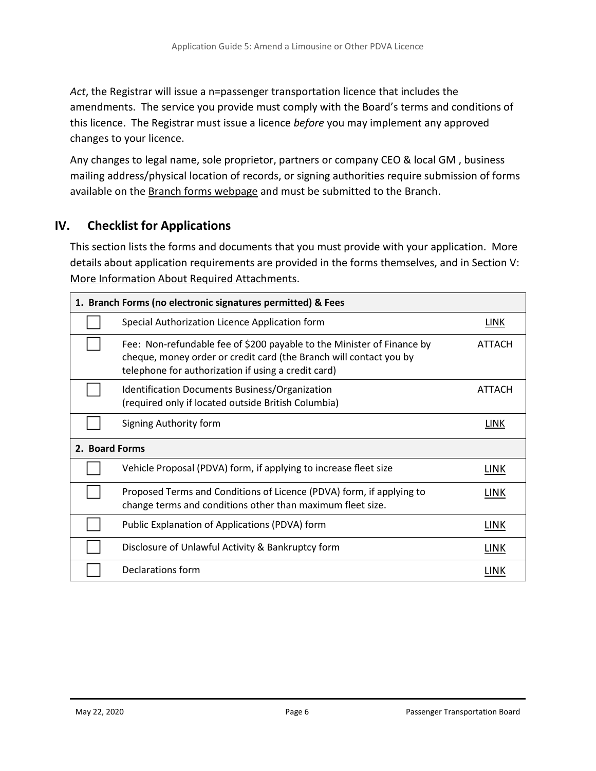*Act*, the Registrar will issue a n=passenger transportation licence that includes the amendments. The service you provide must comply with the Board's terms and conditions of this licence. The Registrar must issue a licence *before* you may implement any approved changes to your licence.

Any changes to legal name, sole proprietor, partners or company CEO & local GM , business mailing address/physical location of records, or signing authorities require submission of forms available on the [Branch forms webpage](https://www.th.gov.bc.ca/forms/results.aspx?group=21) and must be submitted to the Branch.

### <span id="page-5-0"></span>**IV. Checklist for Applications**

This section lists the forms and documents that you must provide with your application. More details about application requirements are provided in the forms themselves, and in Section [V:](#page-6-0) [More Information About Required Attachments.](#page-6-0)

| 1. Branch Forms (no electronic signatures permitted) & Fees |                                                                                                                                                                                                     |               |  |  |
|-------------------------------------------------------------|-----------------------------------------------------------------------------------------------------------------------------------------------------------------------------------------------------|---------------|--|--|
|                                                             | Special Authorization Licence Application form                                                                                                                                                      | LINK          |  |  |
|                                                             | Fee: Non-refundable fee of \$200 payable to the Minister of Finance by<br>cheque, money order or credit card (the Branch will contact you by<br>telephone for authorization if using a credit card) | ATTACH        |  |  |
|                                                             | Identification Documents Business/Organization<br>(required only if located outside British Columbia)                                                                                               | <b>ATTACH</b> |  |  |
|                                                             | Signing Authority form                                                                                                                                                                              | LINK          |  |  |
| 2. Board Forms                                              |                                                                                                                                                                                                     |               |  |  |
|                                                             | Vehicle Proposal (PDVA) form, if applying to increase fleet size                                                                                                                                    | LINK          |  |  |
|                                                             | Proposed Terms and Conditions of Licence (PDVA) form, if applying to<br>change terms and conditions other than maximum fleet size.                                                                  | LINK          |  |  |
|                                                             | Public Explanation of Applications (PDVA) form                                                                                                                                                      | LINK          |  |  |
|                                                             | Disclosure of Unlawful Activity & Bankruptcy form                                                                                                                                                   | LINK          |  |  |
|                                                             | Declarations form                                                                                                                                                                                   | LINK          |  |  |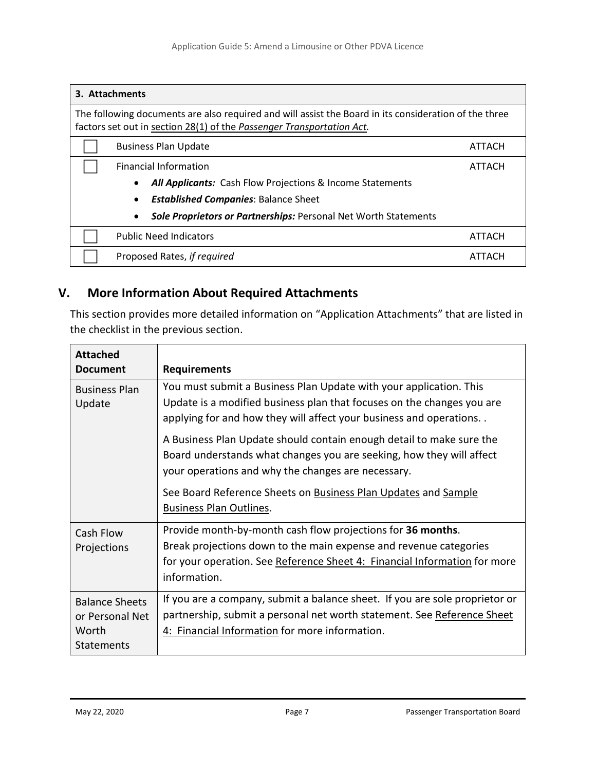| 3. Attachments                                                                                                                                                                 |                                                                  |        |  |  |  |
|--------------------------------------------------------------------------------------------------------------------------------------------------------------------------------|------------------------------------------------------------------|--------|--|--|--|
| The following documents are also required and will assist the Board in its consideration of the three<br>factors set out in section 28(1) of the Passenger Transportation Act. |                                                                  |        |  |  |  |
| <b>Business Plan Update</b>                                                                                                                                                    |                                                                  | ATTACH |  |  |  |
| <b>Financial Information</b>                                                                                                                                                   |                                                                  | ATTACH |  |  |  |
|                                                                                                                                                                                | <b>All Applicants:</b> Cash Flow Projections & Income Statements |        |  |  |  |
| <b>Established Companies: Balance Sheet</b><br>$\bullet$                                                                                                                       |                                                                  |        |  |  |  |
|                                                                                                                                                                                | Sole Proprietors or Partnerships: Personal Net Worth Statements  |        |  |  |  |
| <b>Public Need Indicators</b>                                                                                                                                                  |                                                                  | ATTACH |  |  |  |
| Proposed Rates, if required                                                                                                                                                    |                                                                  | ALIACH |  |  |  |

## <span id="page-6-0"></span>**V. More Information About Required Attachments**

This section provides more detailed information on "Application Attachments" that are listed in the checklist in the previous section.

| <b>Attached</b><br><b>Document</b>                                     | <b>Requirements</b>                                                                                                                                                                                                           |
|------------------------------------------------------------------------|-------------------------------------------------------------------------------------------------------------------------------------------------------------------------------------------------------------------------------|
| <b>Business Plan</b><br>Update                                         | You must submit a Business Plan Update with your application. This<br>Update is a modified business plan that focuses on the changes you are<br>applying for and how they will affect your business and operations            |
|                                                                        | A Business Plan Update should contain enough detail to make sure the<br>Board understands what changes you are seeking, how they will affect<br>your operations and why the changes are necessary.                            |
|                                                                        | See Board Reference Sheets on Business Plan Updates and Sample<br><b>Business Plan Outlines.</b>                                                                                                                              |
| Cash Flow<br>Projections                                               | Provide month-by-month cash flow projections for 36 months.<br>Break projections down to the main expense and revenue categories<br>for your operation. See Reference Sheet 4: Financial Information for more<br>information. |
| <b>Balance Sheets</b><br>or Personal Net<br>Worth<br><b>Statements</b> | If you are a company, submit a balance sheet. If you are sole proprietor or<br>partnership, submit a personal net worth statement. See Reference Sheet<br>4: Financial Information for more information.                      |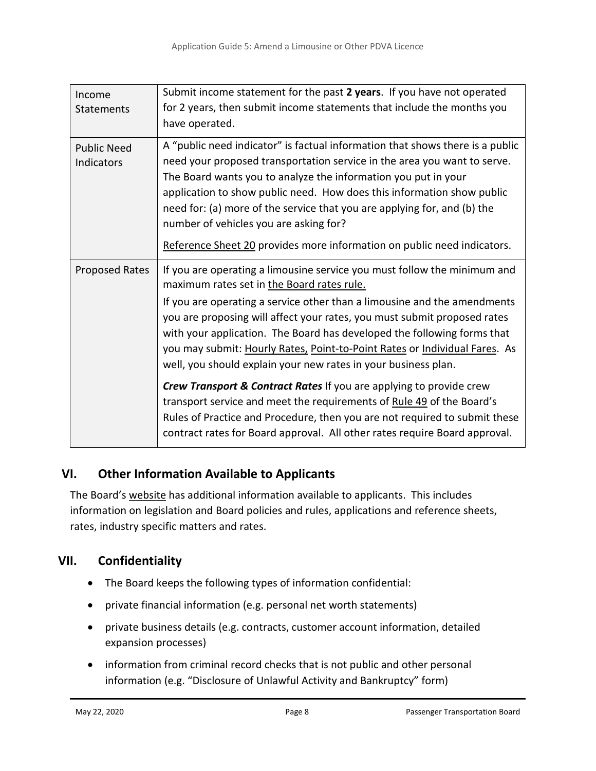| Income<br>Statements             | Submit income statement for the past 2 years. If you have not operated<br>for 2 years, then submit income statements that include the months you<br>have operated.                                                                                                                                                                                                                                                                                                                                        |
|----------------------------------|-----------------------------------------------------------------------------------------------------------------------------------------------------------------------------------------------------------------------------------------------------------------------------------------------------------------------------------------------------------------------------------------------------------------------------------------------------------------------------------------------------------|
| <b>Public Need</b><br>Indicators | A "public need indicator" is factual information that shows there is a public<br>need your proposed transportation service in the area you want to serve.<br>The Board wants you to analyze the information you put in your<br>application to show public need. How does this information show public<br>need for: (a) more of the service that you are applying for, and (b) the<br>number of vehicles you are asking for?                                                                               |
|                                  | Reference Sheet 20 provides more information on public need indicators.                                                                                                                                                                                                                                                                                                                                                                                                                                   |
| Proposed Rates                   | If you are operating a limousine service you must follow the minimum and<br>maximum rates set in the Board rates rule.<br>If you are operating a service other than a limousine and the amendments<br>you are proposing will affect your rates, you must submit proposed rates<br>with your application. The Board has developed the following forms that<br>you may submit: Hourly Rates, Point-to-Point Rates or Individual Fares. As<br>well, you should explain your new rates in your business plan. |
|                                  | Crew Transport & Contract Rates If you are applying to provide crew<br>transport service and meet the requirements of Rule 49 of the Board's<br>Rules of Practice and Procedure, then you are not required to submit these<br>contract rates for Board approval. All other rates require Board approval.                                                                                                                                                                                                  |

### <span id="page-7-0"></span>**VI. Other Information Available to Applicants**

The Board's [website](https://www.ptboard.bc.ca/) has additional information available to applicants. This includes information on legislation and Board policies and rules, applications and reference sheets, rates, industry specific matters and rates.

# <span id="page-7-1"></span>**VII. Confidentiality**

- The Board keeps the following types of information confidential:
- private financial information (e.g. personal net worth statements)
- private business details (e.g. contracts, customer account information, detailed expansion processes)
- information from criminal record checks that is not public and other personal information (e.g. "Disclosure of Unlawful Activity and Bankruptcy" form)